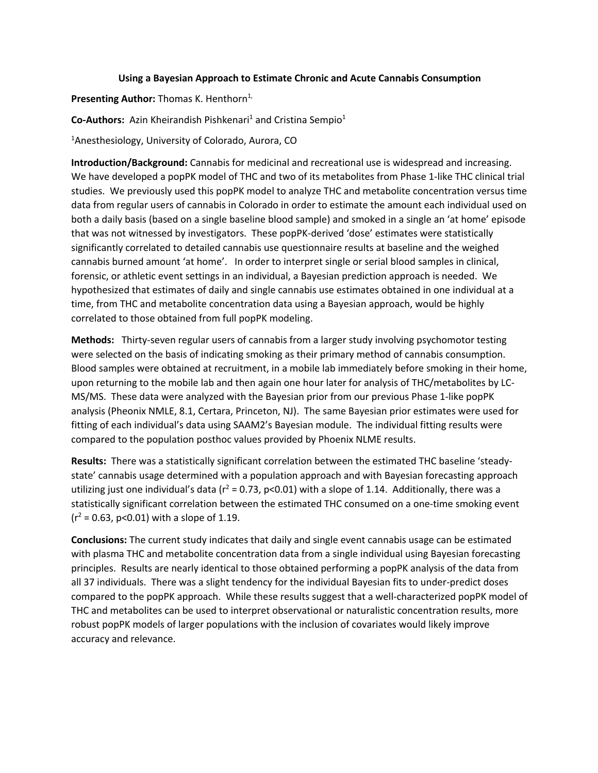## **Using a Bayesian Approach to Estimate Chronic and Acute Cannabis Consumption**

**Presenting Author:** Thomas K. Henthorn<sup>1,</sup>

**Co-Authors:** Azin Kheirandish Pishkenari<sup>1</sup> and Cristina Sempio<sup>1</sup>

<sup>1</sup>Anesthesiology, University of Colorado, Aurora, CO

**Introduction/Background:** Cannabis for medicinal and recreational use is widespread and increasing. We have developed a popPK model of THC and two of its metabolites from Phase 1-like THC clinical trial studies. We previously used this popPK model to analyze THC and metabolite concentration versus time data from regular users of cannabis in Colorado in order to estimate the amount each individual used on both a daily basis (based on a single baseline blood sample) and smoked in a single an 'at home' episode that was not witnessed by investigators. These popPK-derived 'dose' estimates were statistically significantly correlated to detailed cannabis use questionnaire results at baseline and the weighed cannabis burned amount 'at home'. In order to interpret single or serial blood samples in clinical, forensic, or athletic event settings in an individual, a Bayesian prediction approach is needed. We hypothesized that estimates of daily and single cannabis use estimates obtained in one individual at a time, from THC and metabolite concentration data using a Bayesian approach, would be highly correlated to those obtained from full popPK modeling.

**Methods:** Thirty-seven regular users of cannabis from a larger study involving psychomotor testing were selected on the basis of indicating smoking as their primary method of cannabis consumption. Blood samples were obtained at recruitment, in a mobile lab immediately before smoking in their home, upon returning to the mobile lab and then again one hour later for analysis of THC/metabolites by LC-MS/MS. These data were analyzed with the Bayesian prior from our previous Phase 1-like popPK analysis (Pheonix NMLE, 8.1, Certara, Princeton, NJ). The same Bayesian prior estimates were used for fitting of each individual's data using SAAM2's Bayesian module. The individual fitting results were compared to the population posthoc values provided by Phoenix NLME results.

**Results:** There was a statistically significant correlation between the estimated THC baseline 'steadystate' cannabis usage determined with a population approach and with Bayesian forecasting approach utilizing just one individual's data ( $r^2$  = 0.73, p<0.01) with a slope of 1.14. Additionally, there was a statistically significant correlation between the estimated THC consumed on a one-time smoking event  $(r^2 = 0.63, p < 0.01)$  with a slope of 1.19.

**Conclusions:** The current study indicates that daily and single event cannabis usage can be estimated with plasma THC and metabolite concentration data from a single individual using Bayesian forecasting principles. Results are nearly identical to those obtained performing a popPK analysis of the data from all 37 individuals. There was a slight tendency for the individual Bayesian fits to under-predict doses compared to the popPK approach. While these results suggest that a well-characterized popPK model of THC and metabolites can be used to interpret observational or naturalistic concentration results, more robust popPK models of larger populations with the inclusion of covariates would likely improve accuracy and relevance.